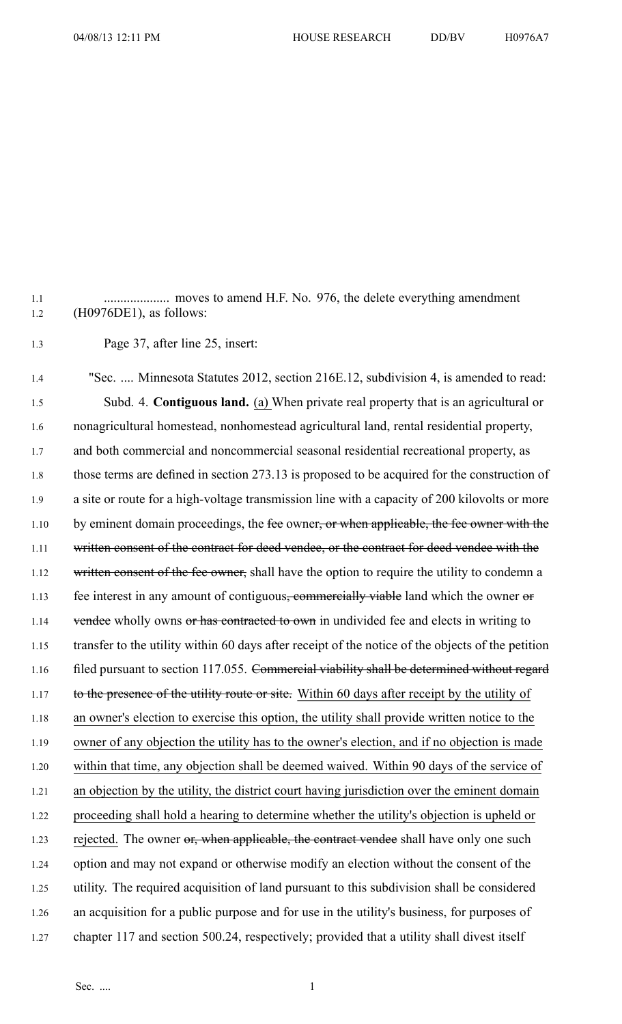1.1 .................... moves to amend H.F. No. 976, the delete everything amendment 1.2 (H0976DE1), as follows:

1.3 Page 37, after line 25, insert:

1.4 "Sec. .... Minnesota Statutes 2012, section 216E.12, subdivision 4, is amended to read: 1.5 Subd. 4. **Contiguous land.** (a) When private real property that is an agricultural or 1.6 nonagricultural homestead, nonhomestead agricultural land, rental residential property, 1.7 and both commercial and noncommercial seasonal residential recreational property, as 1.8 those terms are defined in section 273.13 is proposed to be acquired for the construction of 1.9 <sup>a</sup> site or route for <sup>a</sup> high-voltage transmission line with <sup>a</sup> capacity of 200 kilovolts or more 1.10 by eminent domain proceedings, the fee owner<del>, or when applicable, the fee owner with the</del> 1.11 written consent of the contract for deed vendee, or the contract for deed vendee with the 1.12 written consent of the fee owner, shall have the option to require the utility to condemn a 1.13 fee interest in any amount of contiguous<del>, commercially viable</del> land which the owner or 1.14 vendee wholly owns or has contracted to own in undivided fee and elects in writing to 1.15 transfer to the utility within 60 days after receipt of the notice of the objects of the petition 1.16 filed pursuant to section 117.055. Commercial viability shall be determined without regard 1.17 to the presence of the utility route or site. Within 60 days after receipt by the utility of 1.18 an owner's election to exercise this option, the utility shall provide written notice to the 1.19 owner of any objection the utility has to the owner's election, and if no objection is made 1.20 within that time, any objection shall be deemed waived. Within 90 days of the service of 1.21 an objection by the utility, the district court having jurisdiction over the eminent domain 1.22 proceeding shall hold <sup>a</sup> hearing to determine whether the utility's objection is upheld or 1.23 rejected. The owner or, when applicable, the contract vendee shall have only one such 1.24 option and may not expand or otherwise modify an election without the consent of the 1.25 utility. The required acquisition of land pursuan<sup>t</sup> to this subdivision shall be considered 1.26 an acquisition for <sup>a</sup> public purpose and for use in the utility's business, for purposes of 1.27 chapter 117 and section 500.24, respectively; provided that <sup>a</sup> utility shall divest itself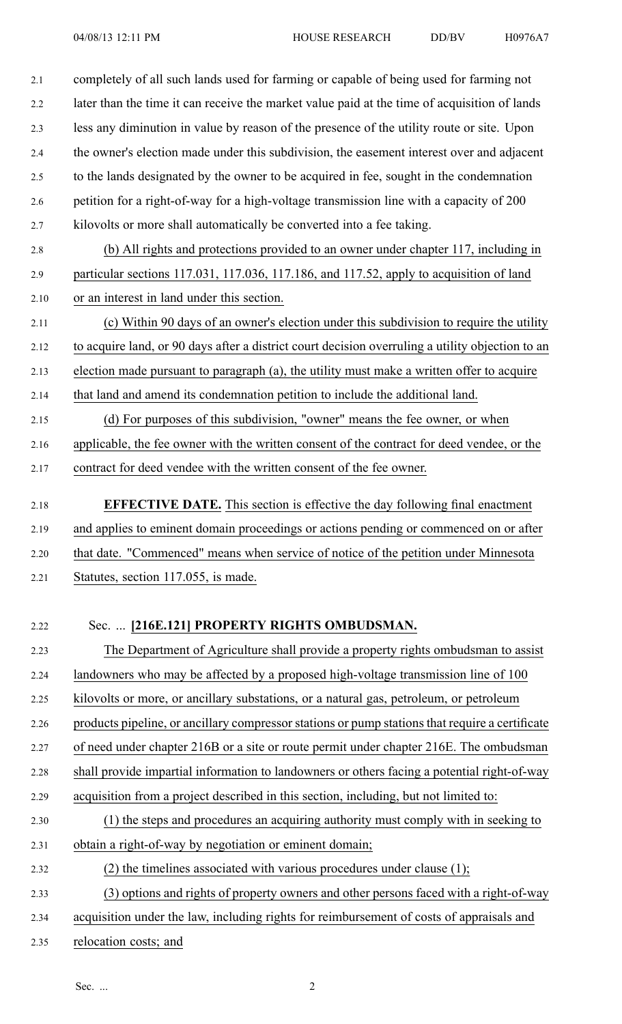2.1 completely of all such lands used for farming or capable of being used for farming not 2.2 later than the time it can receive the market value paid at the time of acquisition of lands 2.3 less any diminution in value by reason of the presence of the utility route or site. Upon 2.4 the owner's election made under this subdivision, the easement interest over and adjacent 2.5 to the lands designated by the owner to be acquired in fee, sought in the condemnation 2.6 petition for <sup>a</sup> right-of-way for <sup>a</sup> high-voltage transmission line with <sup>a</sup> capacity of 200 2.7 kilovolts or more shall automatically be converted into <sup>a</sup> fee taking.

- 2.8 (b) All rights and protections provided to an owner under chapter 117, including in 2.9 particular sections 117.031, 117.036, 117.186, and 117.52, apply to acquisition of land 2.10 or an interest in land under this section.
- 2.11 (c) Within 90 days of an owner's election under this subdivision to require the utility 2.12 to acquire land, or 90 days after <sup>a</sup> district court decision overruling <sup>a</sup> utility objection to an
- 2.13 election made pursuan<sup>t</sup> to paragraph (a), the utility must make <sup>a</sup> written offer to acquire
- 2.14 that land and amend its condemnation petition to include the additional land.
- 2.15 (d) For purposes of this subdivision, "owner" means the fee owner, or when 2.16 applicable, the fee owner with the written consent of the contract for deed vendee, or the 2.17 contract for deed vendee with the written consent of the fee owner.
- 2.18 **EFFECTIVE DATE.** This section is effective the day following final enactment 2.19 and applies to eminent domain proceedings or actions pending or commenced on or after 2.20 that date. "Commenced" means when service of notice of the petition under Minnesota 2.21 Statutes, section 117.055, is made.

## 2.22 Sec. ... **[216E.121] PROPERTY RIGHTS OMBUDSMAN.**

- 2.23 The Department of Agriculture shall provide <sup>a</sup> property rights ombudsman to assist 2.24 landowners who may be affected by <sup>a</sup> proposed high-voltage transmission line of 100 2.25 kilovolts or more, or ancillary substations, or <sup>a</sup> natural gas, petroleum, or petroleum 2.26 products pipeline, or ancillary compressor stations or pump stations that require a certificate 2.27 of need under chapter 216B or <sup>a</sup> site or route permit under chapter 216E. The ombudsman 2.28 shall provide impartial information to landowners or others facing <sup>a</sup> potential right-of-way 2.29 acquisition from <sup>a</sup> project described in this section, including, but not limited to: 2.30 (1) the steps and procedures an acquiring authority must comply with in seeking to 2.31 obtain <sup>a</sup> right-of-way by negotiation or eminent domain; 2.32 (2) the timelines associated with various procedures under clause (1); 2.33 (3) options and rights of property owners and other persons faced with <sup>a</sup> right-of-way 2.34 acquisition under the law, including rights for reimbursement of costs of appraisals and
- 2.35 relocation costs; and